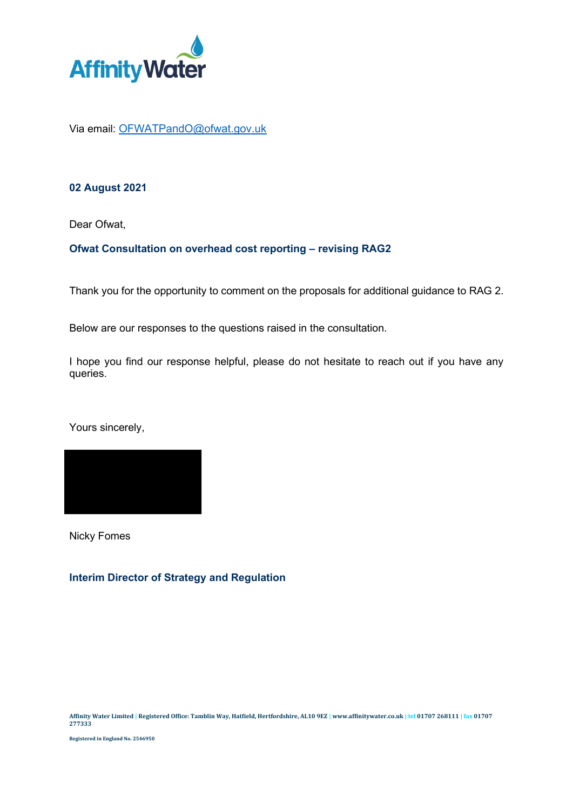

Via email: [OFWATPandO@ofwat.gov.uk](mailto:OFWATPandO@ofwat.gov.uk)

## **02 August 2021**

Dear Ofwat,

## **Ofwat Consultation on overhead cost reporting – revising RAG2**

Thank you for the opportunity to comment on the proposals for additional guidance to RAG 2.

Below are our responses to the questions raised in the consultation.

I hope you find our response helpful, please do not hesitate to reach out if you have any queries.

Yours sincerely,



Nicky Fomes

## **Interim Director of Strategy and Regulation**

**Registered in England No. 2546950**